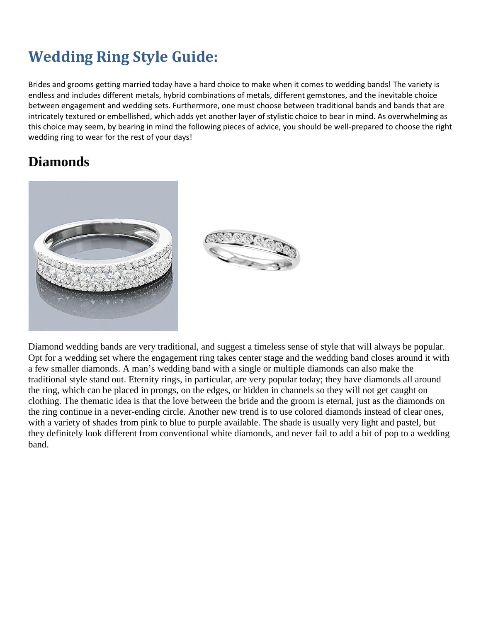# **Wedding Ring Style Guide:**

Brides and grooms getting married today have a hard choice to make when it comes to wedding bands! The variety is endless and includes different metals, hybrid combinations of metals, different gemstones, and the inevitable choice between engagement and wedding sets. Furthermore, one must choose between traditional bands and bands that are intricately textured or embellished, which adds yet another layer of stylistic choice to bear in mind. As overwhelming as this choice may seem, by bearing in mind the following pieces of advice, you should be well-prepared to choose the right wedding ring to wear for the rest of your days!

#### **Diamonds**





Diamond wedding bands are very traditional, and suggest a timeless sense of style that will always be popular. Opt for a wedding set where the engagement ring takes center stage and the wedding band closes around it with a few smaller diamonds. A man's wedding band with a single or multiple diamonds can also make the traditional style stand out. Eternity rings, in particular, are very popular today; they have diamonds all around the ring, which can be placed in prongs, on the edges, or hidden in channels so they will not get caught on clothing. The thematic idea is that the love between the bride and the groom is eternal, just as the diamonds on the ring continue in a never-ending circle. Another new trend is to use colored diamonds instead of clear ones, with a variety of shades from pink to blue to purple available. The shade is usually very light and pastel, but they definitely look different from conventional white diamonds, and never fail to add a bit of pop to a wedding band.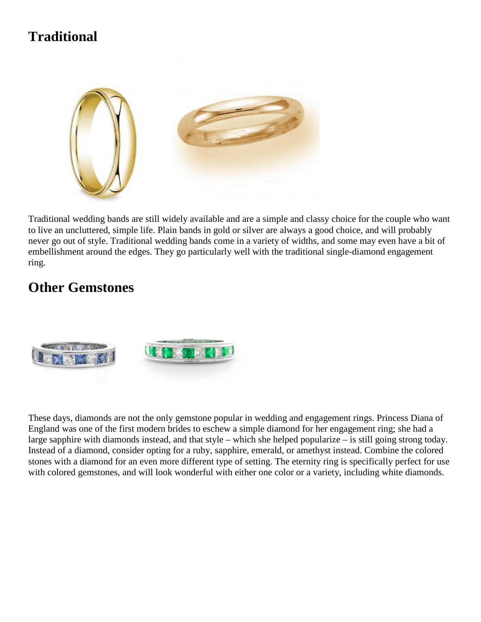## **Traditional**



Traditional wedding bands are still widely available and are a simple and classy choice for the couple who want to live an uncluttered, simple life. Plain bands in gold or silver are always a good choice, and will probably never go out of style. Traditional wedding bands come in a variety of widths, and some may even have a bit of embellishment around the edges. They go particularly well with the traditional single-diamond engagement ring.

#### **Other Gemstones**



These days, diamonds are not the only gemstone popular in wedding and engagement rings. Princess Diana of England was one of the first modern brides to eschew a simple diamond for her engagement ring; she had a large sapphire with diamonds instead, and that style – which she helped popularize – is still going strong today. Instead of a diamond, consider opting for a ruby, sapphire, emerald, or amethyst instead. Combine the colored stones with a diamond for an even more different type of setting. The eternity ring is specifically perfect for use with colored gemstones, and will look wonderful with either one color or a variety, including white diamonds.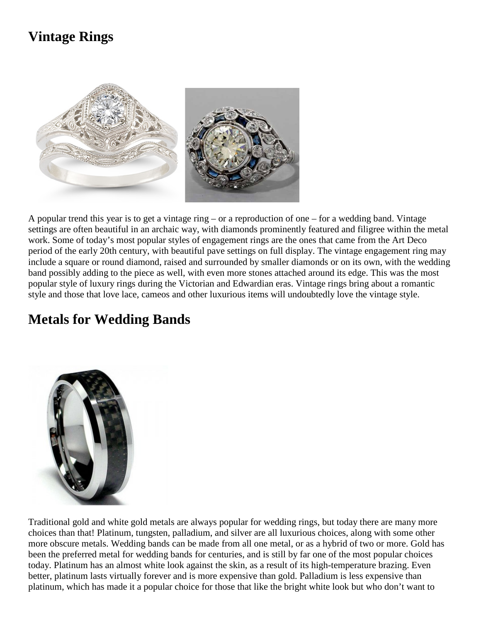### **Vintage Rings**



A popular trend this year is to get a vintage ring – or a reproduction of one – for a wedding band. Vintage settings are often beautiful in an archaic way, with diamonds prominently featured and filigree within the metal work. Some of today's most popular styles of engagement rings are the ones that came from the Art Deco period of the early 20th century, with beautiful pave settings on full display. The vintage engagement ring may include a square or round diamond, raised and surrounded by smaller diamonds or on its own, with the wedding band possibly adding to the piece as well, with even more stones attached around its edge. This was the most popular style of luxury rings during the Victorian and Edwardian eras. Vintage rings bring about a romantic style and those that love lace, cameos and other luxurious items will undoubtedly love the vintage style.

#### **Metals for Wedding Bands**



Traditional gold and white gold metals are always popular for wedding rings, but today there are many more choices than that! Platinum, tungsten, palladium, and silver are all luxurious choices, along with some other more obscure metals. Wedding bands can be made from all one metal, or as a hybrid of two or more. Gold has been the preferred metal for wedding bands for centuries, and is still by far one of the most popular choices today. Platinum has an almost white look against the skin, as a result of its high-temperature brazing. Even better, platinum lasts virtually forever and is more expensive than gold. Palladium is less expensive than platinum, which has made it a popular choice for those that like the bright white look but who don't want to